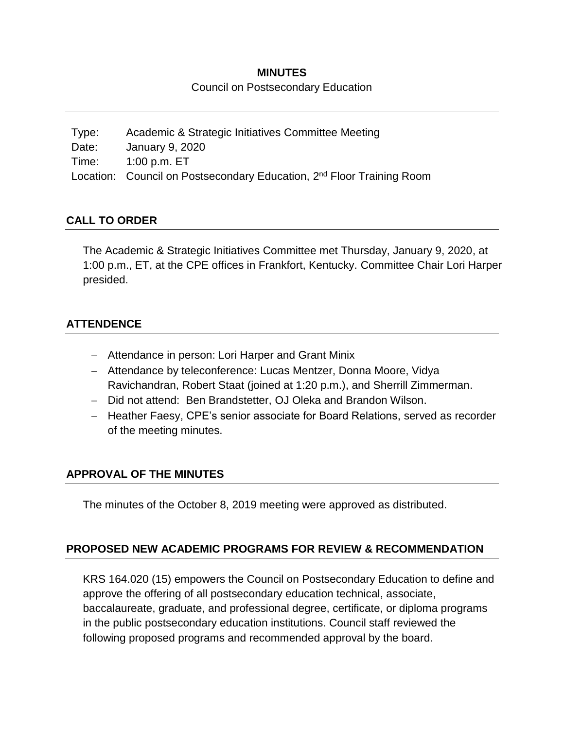#### **MINUTES**

Council on Postsecondary Education

| Type: | Academic & Strategic Initiatives Committee Meeting                                |
|-------|-----------------------------------------------------------------------------------|
| Date: | January 9, 2020                                                                   |
| Time: | 1:00 p.m. ET                                                                      |
|       | Location: Council on Postsecondary Education, 2 <sup>nd</sup> Floor Training Room |

#### **CALL TO ORDER**

The Academic & Strategic Initiatives Committee met Thursday, January 9, 2020, at 1:00 p.m., ET, at the CPE offices in Frankfort, Kentucky. Committee Chair Lori Harper presided.

### **ATTENDENCE**

- Attendance in person: Lori Harper and Grant Minix
- Attendance by teleconference: Lucas Mentzer, Donna Moore, Vidya Ravichandran, Robert Staat (joined at 1:20 p.m.), and Sherrill Zimmerman.
- Did not attend: Ben Brandstetter, OJ Oleka and Brandon Wilson.
- Heather Faesy, CPE's senior associate for Board Relations, served as recorder of the meeting minutes.

# **APPROVAL OF THE MINUTES**

The minutes of the October 8, 2019 meeting were approved as distributed.

#### **PROPOSED NEW ACADEMIC PROGRAMS FOR REVIEW & RECOMMENDATION**

KRS 164.020 (15) empowers the Council on Postsecondary Education to define and approve the offering of all postsecondary education technical, associate, baccalaureate, graduate, and professional degree, certificate, or diploma programs in the public postsecondary education institutions. Council staff reviewed the following proposed programs and recommended approval by the board.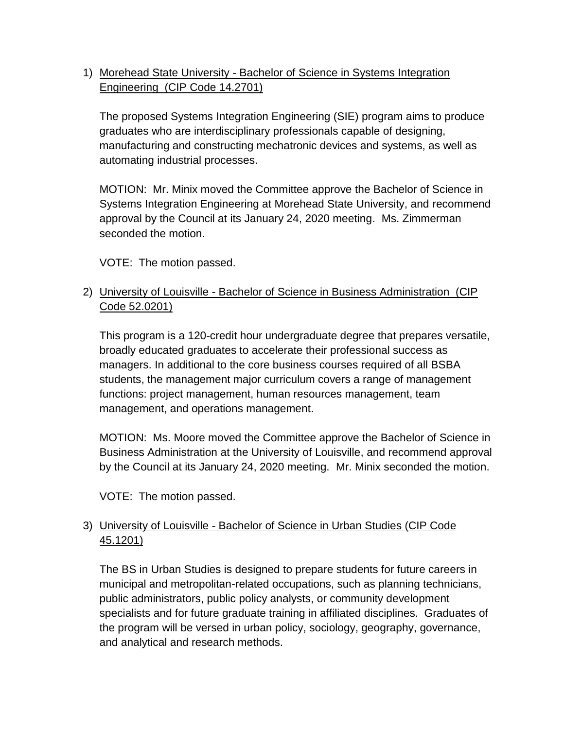1) Morehead State University - Bachelor of Science in Systems Integration Engineering (CIP Code 14.2701)

The proposed Systems Integration Engineering (SIE) program aims to produce graduates who are interdisciplinary professionals capable of designing, manufacturing and constructing mechatronic devices and systems, as well as automating industrial processes.

MOTION: Mr. Minix moved the Committee approve the Bachelor of Science in Systems Integration Engineering at Morehead State University, and recommend approval by the Council at its January 24, 2020 meeting. Ms. Zimmerman seconded the motion.

VOTE: The motion passed.

# 2) University of Louisville - Bachelor of Science in Business Administration (CIP Code 52.0201)

This program is a 120-credit hour undergraduate degree that prepares versatile, broadly educated graduates to accelerate their professional success as managers. In additional to the core business courses required of all BSBA students, the management major curriculum covers a range of management functions: project management, human resources management, team management, and operations management.

MOTION: Ms. Moore moved the Committee approve the Bachelor of Science in Business Administration at the University of Louisville, and recommend approval by the Council at its January 24, 2020 meeting. Mr. Minix seconded the motion.

VOTE: The motion passed.

# 3) University of Louisville - Bachelor of Science in Urban Studies (CIP Code 45.1201)

The BS in Urban Studies is designed to prepare students for future careers in municipal and metropolitan-related occupations, such as planning technicians, public administrators, public policy analysts, or community development specialists and for future graduate training in affiliated disciplines. Graduates of the program will be versed in urban policy, sociology, geography, governance, and analytical and research methods.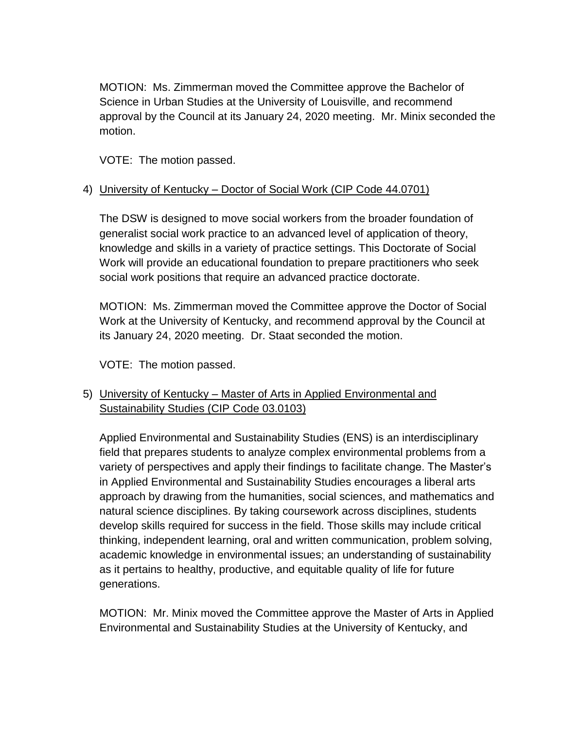MOTION: Ms. Zimmerman moved the Committee approve the Bachelor of Science in Urban Studies at the University of Louisville, and recommend approval by the Council at its January 24, 2020 meeting. Mr. Minix seconded the motion.

VOTE: The motion passed.

#### 4) University of Kentucky – Doctor of Social Work (CIP Code 44.0701)

The DSW is designed to move social workers from the broader foundation of generalist social work practice to an advanced level of application of theory, knowledge and skills in a variety of practice settings. This Doctorate of Social Work will provide an educational foundation to prepare practitioners who seek social work positions that require an advanced practice doctorate.

MOTION: Ms. Zimmerman moved the Committee approve the Doctor of Social Work at the University of Kentucky, and recommend approval by the Council at its January 24, 2020 meeting. Dr. Staat seconded the motion.

VOTE: The motion passed.

# 5) University of Kentucky – Master of Arts in Applied Environmental and Sustainability Studies (CIP Code 03.0103)

Applied Environmental and Sustainability Studies (ENS) is an interdisciplinary field that prepares students to analyze complex environmental problems from a variety of perspectives and apply their findings to facilitate change. The Master's in Applied Environmental and Sustainability Studies encourages a liberal arts approach by drawing from the humanities, social sciences, and mathematics and natural science disciplines. By taking coursework across disciplines, students develop skills required for success in the field. Those skills may include critical thinking, independent learning, oral and written communication, problem solving, academic knowledge in environmental issues; an understanding of sustainability as it pertains to healthy, productive, and equitable quality of life for future generations.

MOTION: Mr. Minix moved the Committee approve the Master of Arts in Applied Environmental and Sustainability Studies at the University of Kentucky, and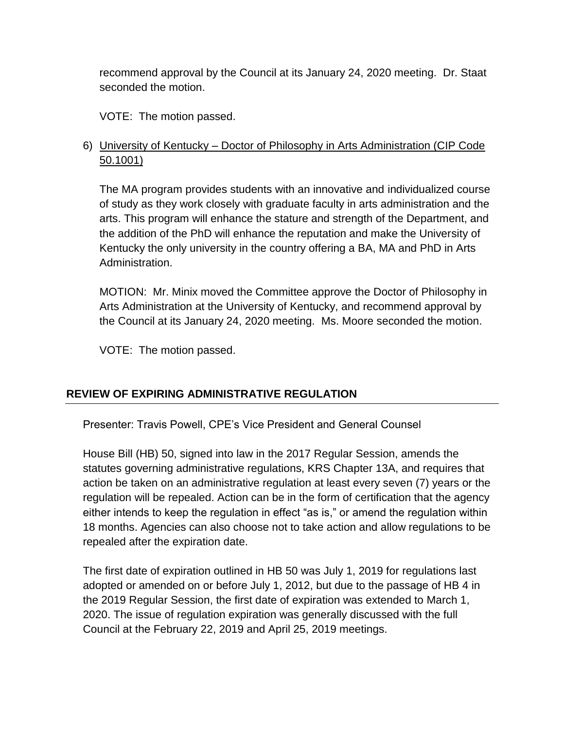recommend approval by the Council at its January 24, 2020 meeting. Dr. Staat seconded the motion.

VOTE: The motion passed.

### 6) University of Kentucky – Doctor of Philosophy in Arts Administration (CIP Code 50.1001)

The MA program provides students with an innovative and individualized course of study as they work closely with graduate faculty in arts administration and the arts. This program will enhance the stature and strength of the Department, and the addition of the PhD will enhance the reputation and make the University of Kentucky the only university in the country offering a BA, MA and PhD in Arts Administration.

MOTION: Mr. Minix moved the Committee approve the Doctor of Philosophy in Arts Administration at the University of Kentucky, and recommend approval by the Council at its January 24, 2020 meeting. Ms. Moore seconded the motion.

VOTE: The motion passed.

# **REVIEW OF EXPIRING ADMINISTRATIVE REGULATION**

Presenter: Travis Powell, CPE's Vice President and General Counsel

House Bill (HB) 50, signed into law in the 2017 Regular Session, amends the statutes governing administrative regulations, KRS Chapter 13A, and requires that action be taken on an administrative regulation at least every seven (7) years or the regulation will be repealed. Action can be in the form of certification that the agency either intends to keep the regulation in effect "as is," or amend the regulation within 18 months. Agencies can also choose not to take action and allow regulations to be repealed after the expiration date.

The first date of expiration outlined in HB 50 was July 1, 2019 for regulations last adopted or amended on or before July 1, 2012, but due to the passage of HB 4 in the 2019 Regular Session, the first date of expiration was extended to March 1, 2020. The issue of regulation expiration was generally discussed with the full Council at the February 22, 2019 and April 25, 2019 meetings.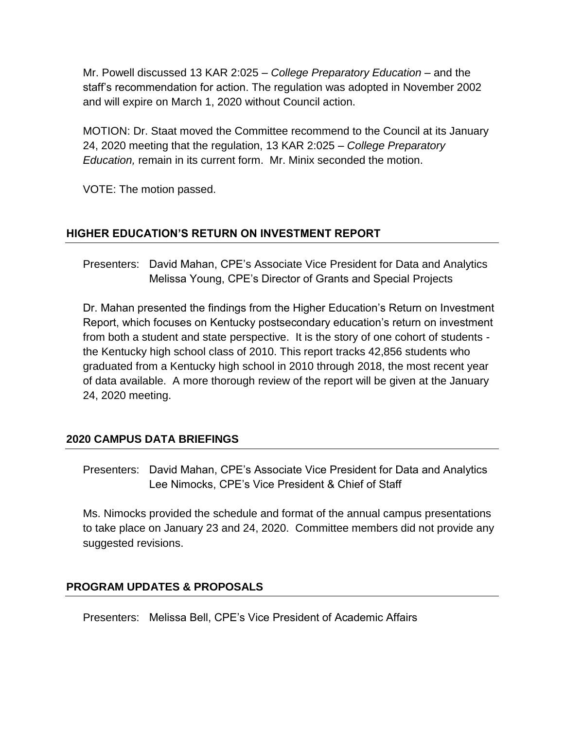Mr. Powell discussed 13 KAR 2:025 – *College Preparatory Education* – and the staff's recommendation for action. The regulation was adopted in November 2002 and will expire on March 1, 2020 without Council action.

MOTION: Dr. Staat moved the Committee recommend to the Council at its January 24, 2020 meeting that the regulation, 13 KAR 2:025 – *College Preparatory Education,* remain in its current form. Mr. Minix seconded the motion.

VOTE: The motion passed.

### **HIGHER EDUCATION'S RETURN ON INVESTMENT REPORT**

Presenters: David Mahan, CPE's Associate Vice President for Data and Analytics Melissa Young, CPE's Director of Grants and Special Projects

Dr. Mahan presented the findings from the Higher Education's Return on Investment Report, which focuses on Kentucky postsecondary education's return on investment from both a student and state perspective. It is the story of one cohort of students the Kentucky high school class of 2010. This report tracks 42,856 students who graduated from a Kentucky high school in 2010 through 2018, the most recent year of data available. A more thorough review of the report will be given at the January 24, 2020 meeting.

#### **2020 CAMPUS DATA BRIEFINGS**

Presenters: David Mahan, CPE's Associate Vice President for Data and Analytics Lee Nimocks, CPE's Vice President & Chief of Staff

Ms. Nimocks provided the schedule and format of the annual campus presentations to take place on January 23 and 24, 2020. Committee members did not provide any suggested revisions.

# **PROGRAM UPDATES & PROPOSALS**

Presenters: Melissa Bell, CPE's Vice President of Academic Affairs